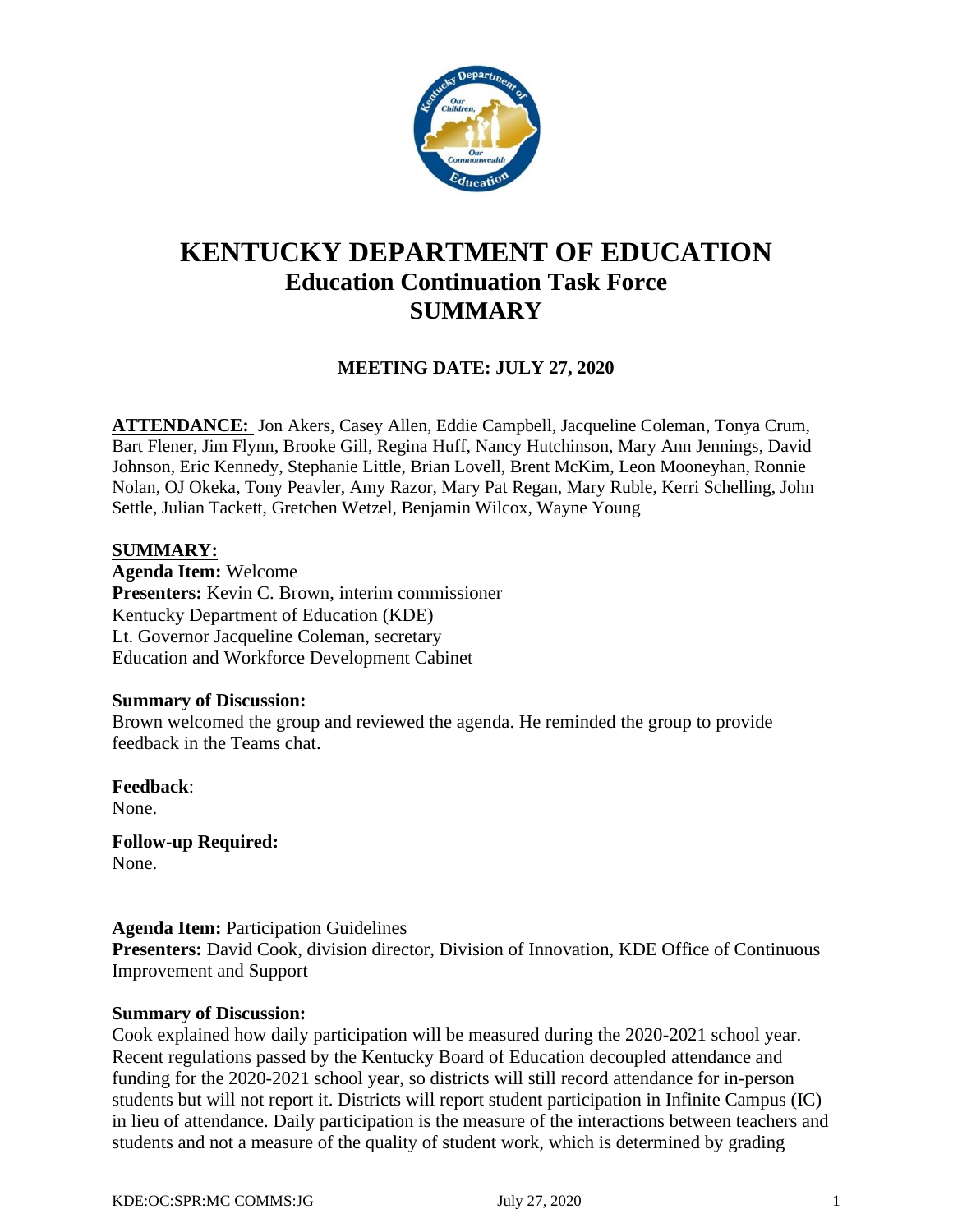

# **KENTUCKY DEPARTMENT OF EDUCATION Education Continuation Task Force SUMMARY**

# **MEETING DATE: JULY 27, 2020**

**ATTENDANCE:** Jon Akers, Casey Allen, Eddie Campbell, Jacqueline Coleman, Tonya Crum, Bart Flener, Jim Flynn, Brooke Gill, Regina Huff, Nancy Hutchinson, Mary Ann Jennings, David Johnson, Eric Kennedy, Stephanie Little, Brian Lovell, Brent McKim, Leon Mooneyhan, Ronnie Nolan, OJ Okeka, Tony Peavler, Amy Razor, Mary Pat Regan, Mary Ruble, Kerri Schelling, John Settle, Julian Tackett, Gretchen Wetzel, Benjamin Wilcox, Wayne Young

### **SUMMARY:**

**Agenda Item:** Welcome **Presenters:** Kevin C. Brown, interim commissioner Kentucky Department of Education (KDE) Lt. Governor Jacqueline Coleman, secretary Education and Workforce Development Cabinet

### **Summary of Discussion:**

Brown welcomed the group and reviewed the agenda. He reminded the group to provide feedback in the Teams chat.

**Feedback**: None.

**Follow-up Required:** None.

### **Agenda Item:** Participation Guidelines

Presenters: David Cook, division director, Division of Innovation, KDE Office of Continuous Improvement and Support

### **Summary of Discussion:**

Cook explained how daily participation will be measured during the 2020-2021 school year. Recent regulations passed by the Kentucky Board of Education decoupled attendance and funding for the 2020-2021 school year, so districts will still record attendance for in-person students but will not report it. Districts will report student participation in Infinite Campus (IC) in lieu of attendance. Daily participation is the measure of the interactions between teachers and students and not a measure of the quality of student work, which is determined by grading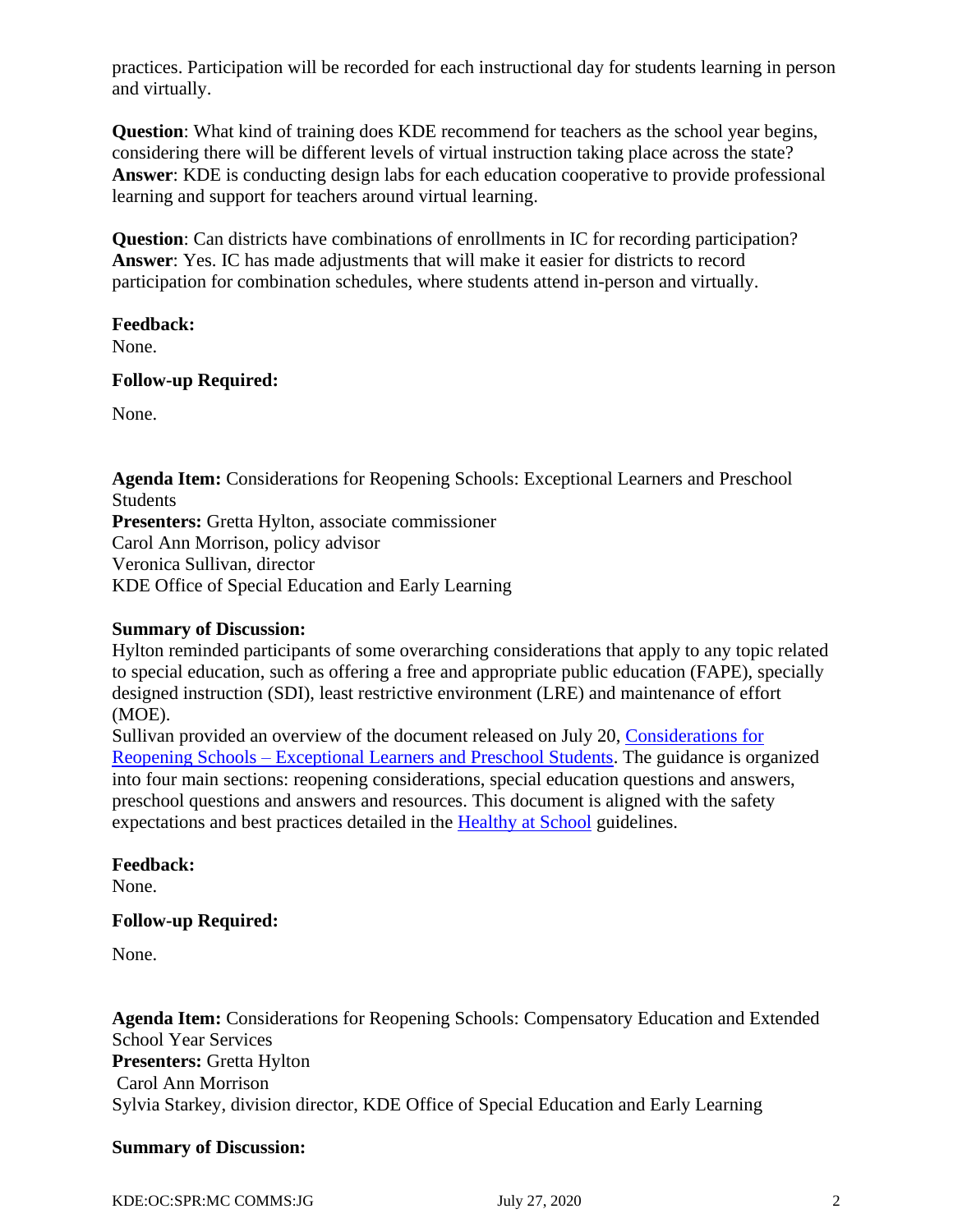practices. Participation will be recorded for each instructional day for students learning in person and virtually.

**Question**: What kind of training does KDE recommend for teachers as the school year begins, considering there will be different levels of virtual instruction taking place across the state? **Answer**: KDE is conducting design labs for each education cooperative to provide professional learning and support for teachers around virtual learning.

**Question**: Can districts have combinations of enrollments in IC for recording participation? **Answer**: Yes. IC has made adjustments that will make it easier for districts to record participation for combination schedules, where students attend in-person and virtually.

# **Feedback:**

None.

### **Follow-up Required:**

None.

**Agenda Item:** Considerations for Reopening Schools: Exceptional Learners and Preschool Students **Presenters:** Gretta Hylton, associate commissioner Carol Ann Morrison, policy advisor Veronica Sullivan, director KDE Office of Special Education and Early Learning

# **Summary of Discussion:**

Hylton reminded participants of some overarching considerations that apply to any topic related to special education, such as offering a free and appropriate public education (FAPE), specially designed instruction (SDI), least restrictive environment (LRE) and maintenance of effort (MOE).

Sullivan provided an overview of the document released on July 20, [Considerations for](https://education.ky.gov/comm/Documents/Reopening%20Considerations%20for%20Exceptional%20Learners%20and%20Preschool%20FINAL.pdf)  Reopening Schools – [Exceptional Learners and Preschool Students.](https://education.ky.gov/comm/Documents/Reopening%20Considerations%20for%20Exceptional%20Learners%20and%20Preschool%20FINAL.pdf) The guidance is organized into four main sections: reopening considerations, special education questions and answers, preschool questions and answers and resources. This document is aligned with the safety expectations and best practices detailed in the [Healthy at School](https://education.ky.gov/comm/Documents/Safety%20Expectations_FINAL%20DOC.pdf) guidelines.

# **Feedback:**

None.

# **Follow-up Required:**

None.

**Agenda Item:** Considerations for Reopening Schools: Compensatory Education and Extended School Year Services **Presenters:** Gretta Hylton Carol Ann Morrison Sylvia Starkey, division director, KDE Office of Special Education and Early Learning

# **Summary of Discussion:**

KDE:OC:SPR:MC COMMS:JG July 27, 2020 2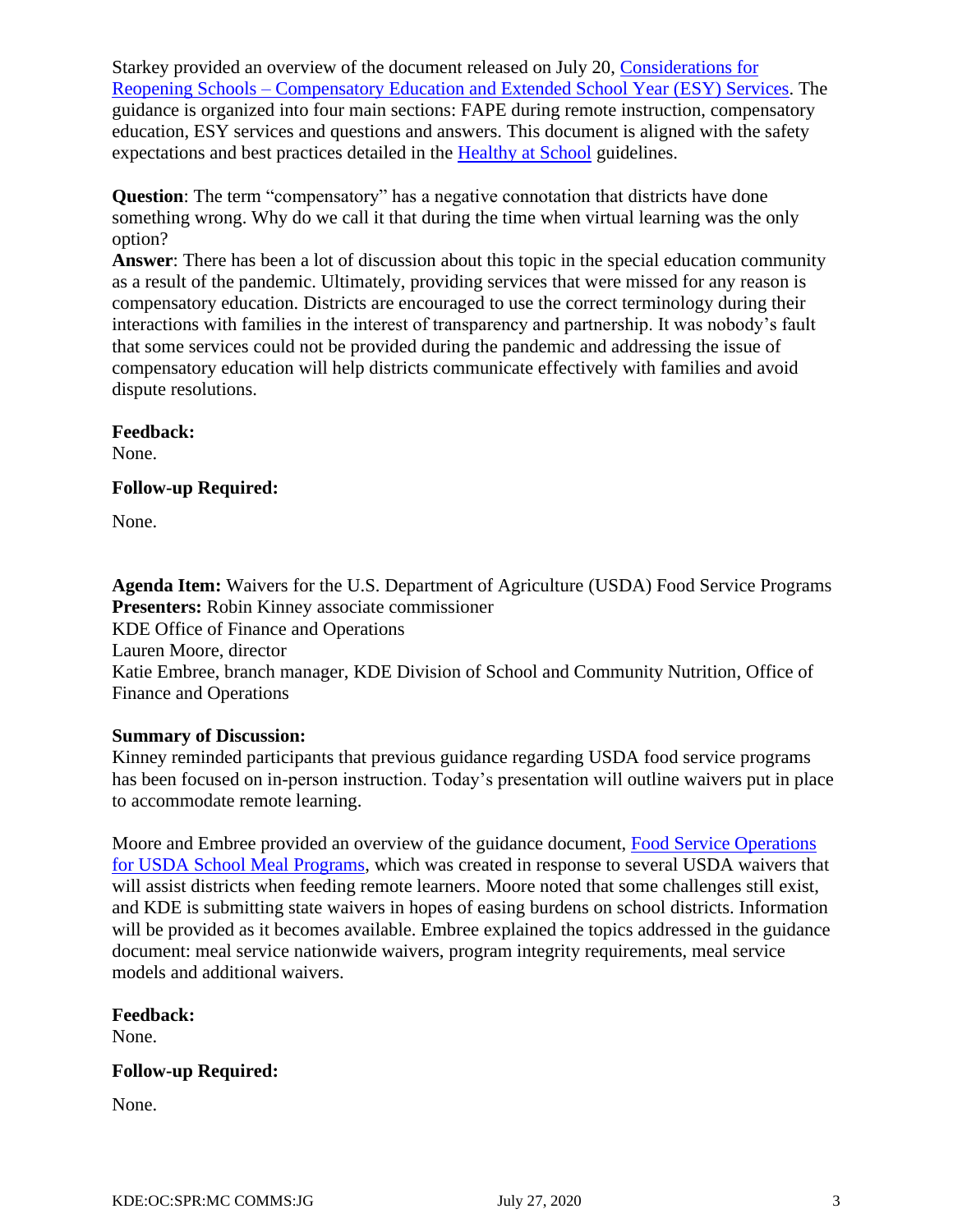Starkey provided an overview of the document released on July 20, [Considerations for](https://education.ky.gov/comm/Documents/COVID%20Guidance%20Comp.%20Ed_ESY%20FINAL.pdf)  Reopening Schools – [Compensatory Education and Extended School Year \(ESY\) Services.](https://education.ky.gov/comm/Documents/COVID%20Guidance%20Comp.%20Ed_ESY%20FINAL.pdf) The guidance is organized into four main sections: FAPE during remote instruction, compensatory education, ESY services and questions and answers. This document is aligned with the safety expectations and best practices detailed in the [Healthy at School](https://education.ky.gov/comm/Documents/Safety%20Expectations_FINAL%20DOC.pdf) guidelines.

**Question**: The term "compensatory" has a negative connotation that districts have done something wrong. Why do we call it that during the time when virtual learning was the only option?

**Answer**: There has been a lot of discussion about this topic in the special education community as a result of the pandemic. Ultimately, providing services that were missed for any reason is compensatory education. Districts are encouraged to use the correct terminology during their interactions with families in the interest of transparency and partnership. It was nobody's fault that some services could not be provided during the pandemic and addressing the issue of compensatory education will help districts communicate effectively with families and avoid dispute resolutions.

### **Feedback:**

None.

# **Follow-up Required:**

None.

**Agenda Item:** Waivers for the U.S. Department of Agriculture (USDA) Food Service Programs **Presenters:** Robin Kinney associate commissioner KDE Office of Finance and Operations Lauren Moore, director Katie Embree, branch manager, KDE Division of School and Community Nutrition, Office of Finance and Operations

# **Summary of Discussion:**

Kinney reminded participants that previous guidance regarding USDA food service programs has been focused on in-person instruction. Today's presentation will outline waivers put in place to accommodate remote learning.

Moore and Embree provided an overview of the guidance document, [Food Service Operations](https://education.ky.gov/comm/Documents/Reopening%20Guidance%20Food%20Service%20Operations%20Part%202%20FINAL.pdf)  [for USDA School Meal Programs,](https://education.ky.gov/comm/Documents/Reopening%20Guidance%20Food%20Service%20Operations%20Part%202%20FINAL.pdf) which was created in response to several USDA waivers that will assist districts when feeding remote learners. Moore noted that some challenges still exist, and KDE is submitting state waivers in hopes of easing burdens on school districts. Information will be provided as it becomes available. Embree explained the topics addressed in the guidance document: meal service nationwide waivers, program integrity requirements, meal service models and additional waivers.

# **Feedback:**

None.

# **Follow-up Required:**

None.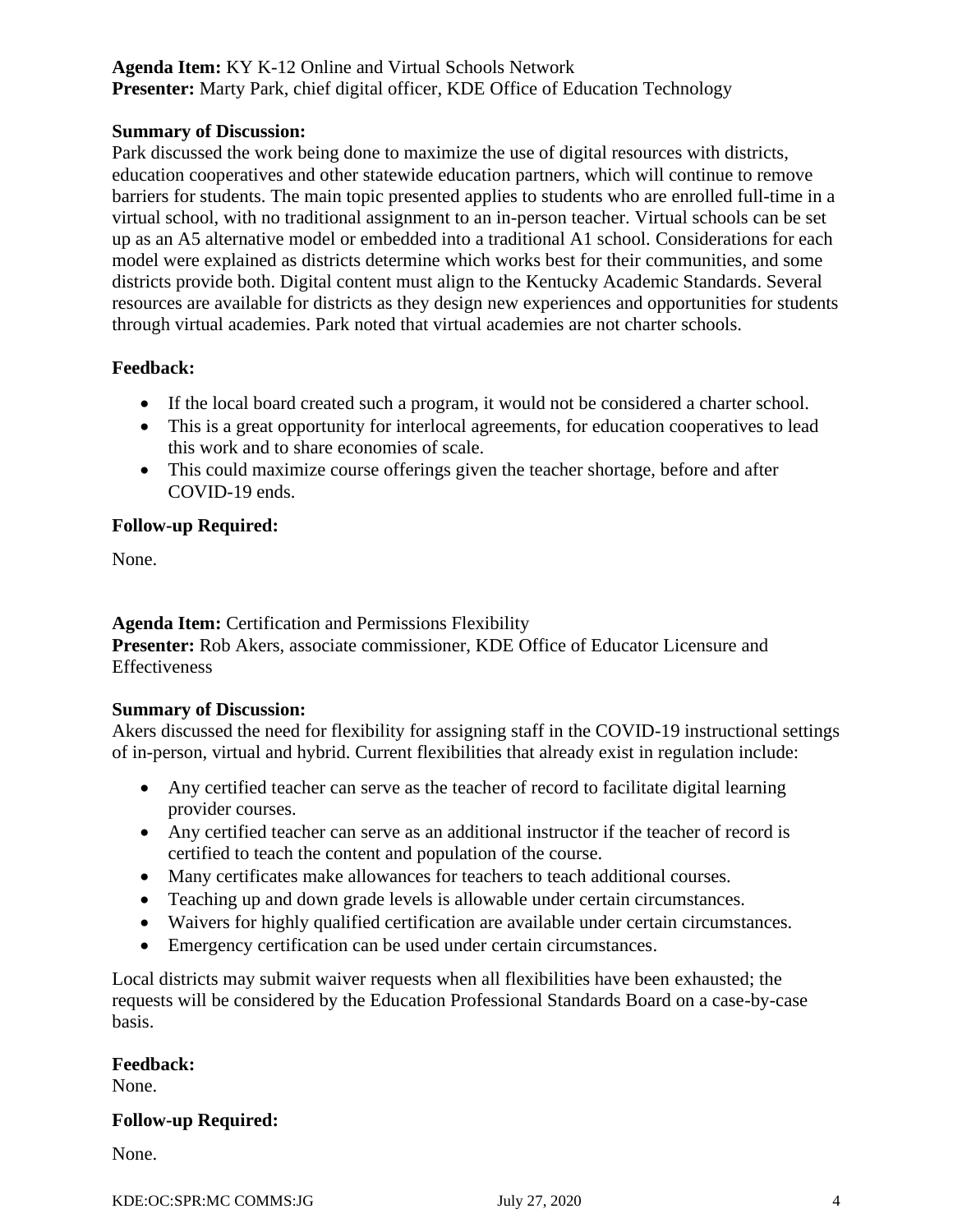# **Agenda Item:** KY K-12 Online and Virtual Schools Network **Presenter:** Marty Park, chief digital officer, KDE Office of Education Technology

### **Summary of Discussion:**

Park discussed the work being done to maximize the use of digital resources with districts, education cooperatives and other statewide education partners, which will continue to remove barriers for students. The main topic presented applies to students who are enrolled full-time in a virtual school, with no traditional assignment to an in-person teacher. Virtual schools can be set up as an A5 alternative model or embedded into a traditional A1 school. Considerations for each model were explained as districts determine which works best for their communities, and some districts provide both. Digital content must align to the Kentucky Academic Standards. Several resources are available for districts as they design new experiences and opportunities for students through virtual academies. Park noted that virtual academies are not charter schools.

# **Feedback:**

- If the local board created such a program, it would not be considered a charter school.
- This is a great opportunity for interlocal agreements, for education cooperatives to lead this work and to share economies of scale.
- This could maximize course offerings given the teacher shortage, before and after COVID-19 ends.

# **Follow-up Required:**

None.

**Agenda Item:** Certification and Permissions Flexibility **Presenter:** Rob Akers, associate commissioner, KDE Office of Educator Licensure and Effectiveness

### **Summary of Discussion:**

Akers discussed the need for flexibility for assigning staff in the COVID-19 instructional settings of in-person, virtual and hybrid. Current flexibilities that already exist in regulation include:

- Any certified teacher can serve as the teacher of record to facilitate digital learning provider courses.
- Any certified teacher can serve as an additional instructor if the teacher of record is certified to teach the content and population of the course.
- Many certificates make allowances for teachers to teach additional courses.
- Teaching up and down grade levels is allowable under certain circumstances.
- Waivers for highly qualified certification are available under certain circumstances.
- Emergency certification can be used under certain circumstances.

Local districts may submit waiver requests when all flexibilities have been exhausted; the requests will be considered by the Education Professional Standards Board on a case-by-case basis.

### **Feedback:**

None.

### **Follow-up Required:**

None.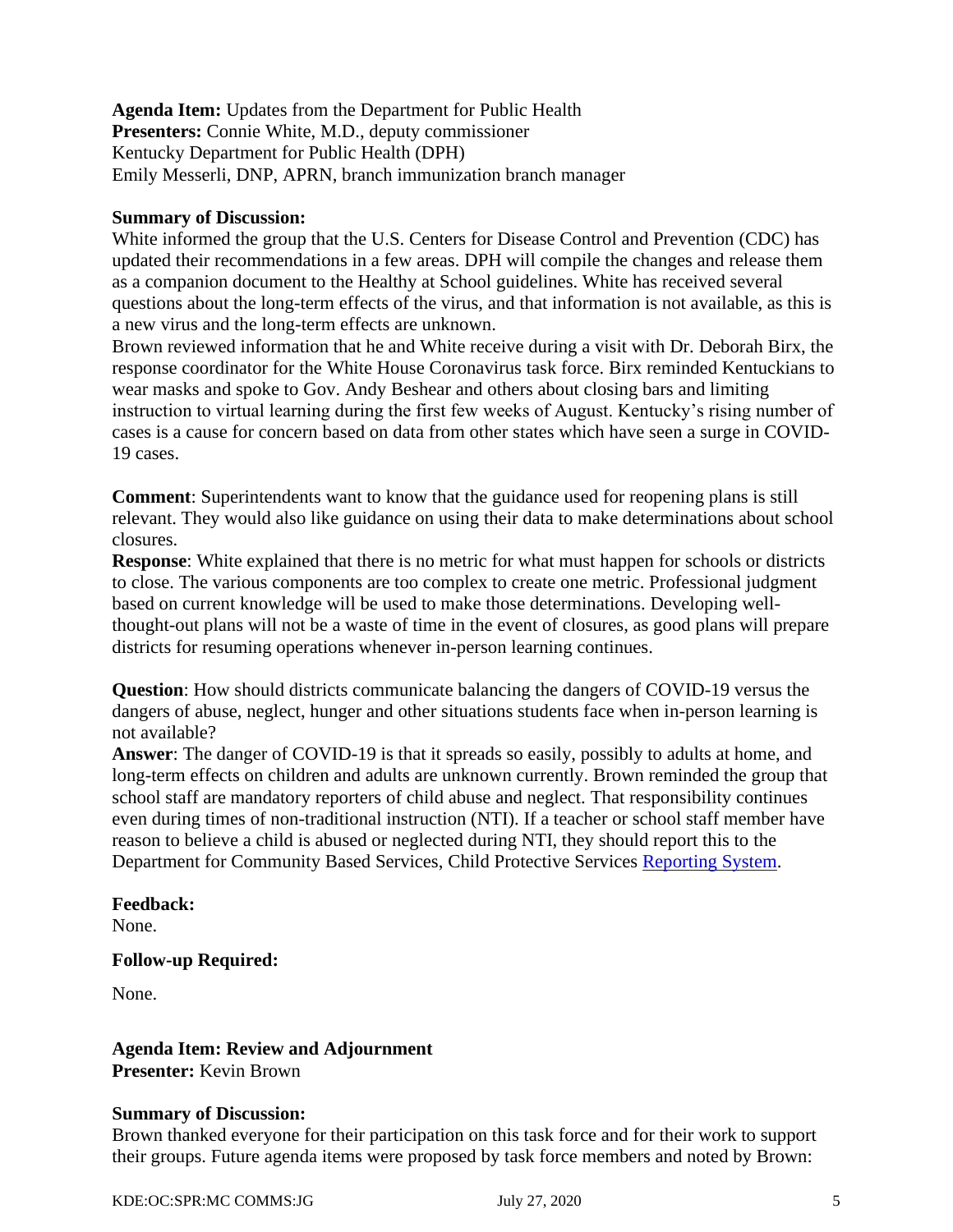**Agenda Item:** Updates from the Department for Public Health **Presenters:** Connie White, M.D., deputy commissioner Kentucky Department for Public Health (DPH) Emily Messerli, DNP, APRN, branch immunization branch manager

#### **Summary of Discussion:**

White informed the group that the U.S. Centers for Disease Control and Prevention (CDC) has updated their recommendations in a few areas. DPH will compile the changes and release them as a companion document to the Healthy at School guidelines. White has received several questions about the long-term effects of the virus, and that information is not available, as this is a new virus and the long-term effects are unknown.

Brown reviewed information that he and White receive during a visit with Dr. Deborah Birx, the response coordinator for the White House Coronavirus task force. Birx reminded Kentuckians to wear masks and spoke to Gov. Andy Beshear and others about closing bars and limiting instruction to virtual learning during the first few weeks of August. Kentucky's rising number of cases is a cause for concern based on data from other states which have seen a surge in COVID-19 cases.

**Comment**: Superintendents want to know that the guidance used for reopening plans is still relevant. They would also like guidance on using their data to make determinations about school closures.

**Response**: White explained that there is no metric for what must happen for schools or districts to close. The various components are too complex to create one metric. Professional judgment based on current knowledge will be used to make those determinations. Developing wellthought-out plans will not be a waste of time in the event of closures, as good plans will prepare districts for resuming operations whenever in-person learning continues.

**Question**: How should districts communicate balancing the dangers of COVID-19 versus the dangers of abuse, neglect, hunger and other situations students face when in-person learning is not available?

**Answer**: The danger of COVID-19 is that it spreads so easily, possibly to adults at home, and long-term effects on children and adults are unknown currently. Brown reminded the group that school staff are mandatory reporters of child abuse and neglect. That responsibility continues even during times of non-traditional instruction (NTI). If a teacher or school staff member have reason to believe a child is abused or neglected during NTI, they should report this to the Department for Community Based Services, Child Protective Services [Reporting System.](https://prdweb.chfs.ky.gov/ReportAbuse/home.aspx)

# **Feedback:**

None.

### **Follow-up Required:**

None.

**Agenda Item: Review and Adjournment Presenter:** Kevin Brown

### **Summary of Discussion:**

Brown thanked everyone for their participation on this task force and for their work to support their groups. Future agenda items were proposed by task force members and noted by Brown: